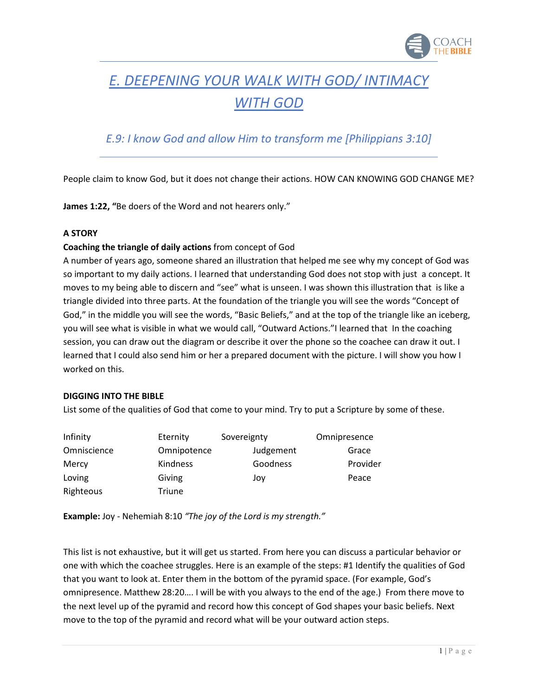

# *E. DEEPENING YOUR WALK WITH GOD/ INTIMACY WITH GOD*

# *E.9: I know God and allow Him to transform me [Philippians 3:10]*

People claim to know God, but it does not change their actions. HOW CAN KNOWING GOD CHANGE ME?

**James 1:22, "**Be doers of the Word and not hearers only."

### **A STORY**

### **Coaching the triangle of daily actions** from concept of God

A number of years ago, someone shared an illustration that helped me see why my concept of God was so important to my daily actions. I learned that understanding God does not stop with just a concept. It moves to my being able to discern and "see" what is unseen. I was shown this illustration that is like a triangle divided into three parts. At the foundation of the triangle you will see the words "Concept of God," in the middle you will see the words, "Basic Beliefs," and at the top of the triangle like an iceberg, you will see what is visible in what we would call, "Outward Actions."I learned that In the coaching session, you can draw out the diagram or describe it over the phone so the coachee can draw it out. I learned that I could also send him or her a prepared document with the picture. I will show you how I worked on this.

### **DIGGING INTO THE BIBLE**

List some of the qualities of God that come to your mind. Try to put a Scripture by some of these.

| Infinity    | Eternity    | Sovereignty | Omnipresence |
|-------------|-------------|-------------|--------------|
| Omniscience | Omnipotence | Judgement   | Grace        |
| Mercy       | Kindness    | Goodness    | Provider     |
| Loving      | Giving      | Joy         | Peace        |
| Righteous   | Triune      |             |              |

**Example:** Joy - Nehemiah 8:10 *"The joy of the Lord is my strength."*

This list is not exhaustive, but it will get us started. From here you can discuss a particular behavior or one with which the coachee struggles. Here is an example of the steps: #1 Identify the qualities of God that you want to look at. Enter them in the bottom of the pyramid space. (For example, God's omnipresence. Matthew 28:20…. I will be with you always to the end of the age.) From there move to the next level up of the pyramid and record how this concept of God shapes your basic beliefs. Next move to the top of the pyramid and record what will be your outward action steps.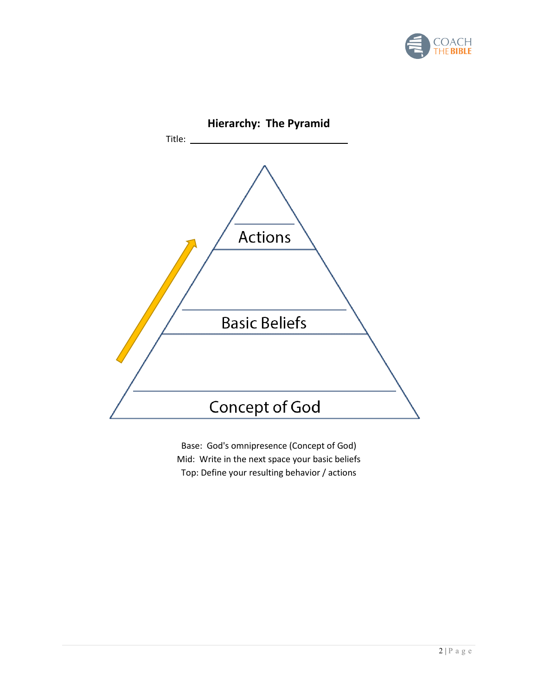



Base: God's omnipresence (Concept of God) Mid: Write in the next space your basic beliefs Top: Define your resulting behavior / actions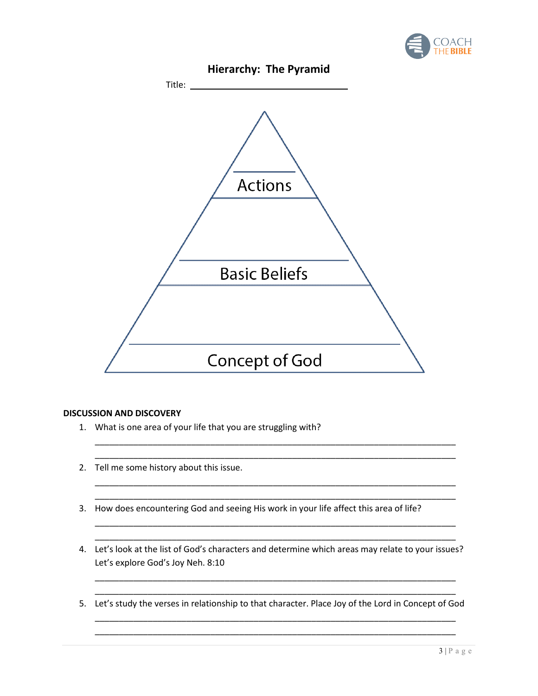



### **DISCUSSION AND DISCOVERY**

- 1. What is one area of your life that you are struggling with?
- 2. Tell me some history about this issue.
- 3. How does encountering God and seeing His work in your life affect this area of life?
- 4. Let's look at the list of God's characters and determine which areas may relate to your issues? Let's explore God's Joy Neh. 8:10

\_\_\_\_\_\_\_\_\_\_\_\_\_\_\_\_\_\_\_\_\_\_\_\_\_\_\_\_\_\_\_\_\_\_\_\_\_\_\_\_\_\_\_\_\_\_\_\_\_\_\_\_\_\_\_\_\_\_\_\_\_\_\_\_\_\_\_\_\_\_\_\_\_\_\_

\_\_\_\_\_\_\_\_\_\_\_\_\_\_\_\_\_\_\_\_\_\_\_\_\_\_\_\_\_\_\_\_\_\_\_\_\_\_\_\_\_\_\_\_\_\_\_\_\_\_\_\_\_\_\_\_\_\_\_\_\_\_\_\_\_\_\_\_\_\_\_\_\_\_\_ \_\_\_\_\_\_\_\_\_\_\_\_\_\_\_\_\_\_\_\_\_\_\_\_\_\_\_\_\_\_\_\_\_\_\_\_\_\_\_\_\_\_\_\_\_\_\_\_\_\_\_\_\_\_\_\_\_\_\_\_\_\_\_\_\_\_\_\_\_\_\_\_\_\_\_

\_\_\_\_\_\_\_\_\_\_\_\_\_\_\_\_\_\_\_\_\_\_\_\_\_\_\_\_\_\_\_\_\_\_\_\_\_\_\_\_\_\_\_\_\_\_\_\_\_\_\_\_\_\_\_\_\_\_\_\_\_\_\_\_\_\_\_\_\_\_\_\_\_\_\_ \_\_\_\_\_\_\_\_\_\_\_\_\_\_\_\_\_\_\_\_\_\_\_\_\_\_\_\_\_\_\_\_\_\_\_\_\_\_\_\_\_\_\_\_\_\_\_\_\_\_\_\_\_\_\_\_\_\_\_\_\_\_\_\_\_\_\_\_\_\_\_\_\_\_\_

\_\_\_\_\_\_\_\_\_\_\_\_\_\_\_\_\_\_\_\_\_\_\_\_\_\_\_\_\_\_\_\_\_\_\_\_\_\_\_\_\_\_\_\_\_\_\_\_\_\_\_\_\_\_\_\_\_\_\_\_\_\_\_\_\_\_\_\_\_\_\_\_\_\_\_ \_\_\_\_\_\_\_\_\_\_\_\_\_\_\_\_\_\_\_\_\_\_\_\_\_\_\_\_\_\_\_\_\_\_\_\_\_\_\_\_\_\_\_\_\_\_\_\_\_\_\_\_\_\_\_\_\_\_\_\_\_\_\_\_\_\_\_\_\_\_\_\_\_\_\_

\_\_\_\_\_\_\_\_\_\_\_\_\_\_\_\_\_\_\_\_\_\_\_\_\_\_\_\_\_\_\_\_\_\_\_\_\_\_\_\_\_\_\_\_\_\_\_\_\_\_\_\_\_\_\_\_\_\_\_\_\_\_\_\_\_\_\_\_\_\_\_\_\_\_\_ 5. Let's study the verses in relationship to that character. Place Joy of the Lord in Concept of God \_\_\_\_\_\_\_\_\_\_\_\_\_\_\_\_\_\_\_\_\_\_\_\_\_\_\_\_\_\_\_\_\_\_\_\_\_\_\_\_\_\_\_\_\_\_\_\_\_\_\_\_\_\_\_\_\_\_\_\_\_\_\_\_\_\_\_\_\_\_\_\_\_\_\_

\_\_\_\_\_\_\_\_\_\_\_\_\_\_\_\_\_\_\_\_\_\_\_\_\_\_\_\_\_\_\_\_\_\_\_\_\_\_\_\_\_\_\_\_\_\_\_\_\_\_\_\_\_\_\_\_\_\_\_\_\_\_\_\_\_\_\_\_\_\_\_\_\_\_\_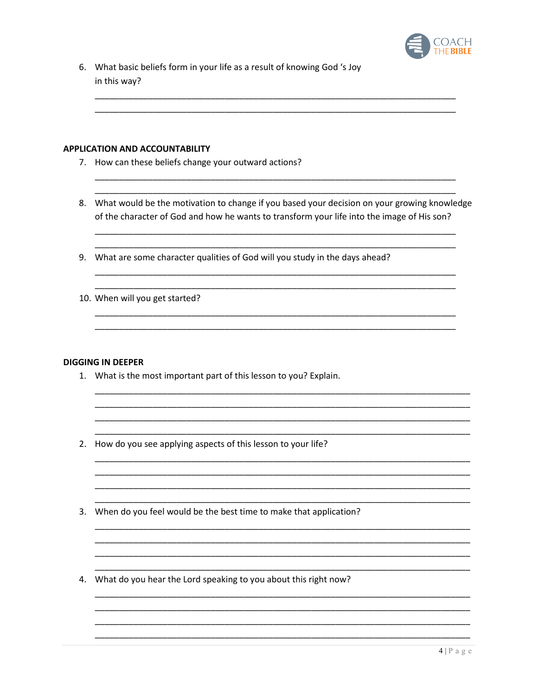

6. What basic beliefs form in your life as a result of knowing God 's Joy in this way?

#### **APPLICATION AND ACCOUNTABILITY**

- 7. How can these beliefs change your outward actions?
- 8. What would be the motivation to change if you based your decision on your growing knowledge of the character of God and how he wants to transform your life into the image of His son?
- 9. What are some character qualities of God will you study in the days ahead?
- 10. When will you get started?

#### **DIGGING IN DEEPER**

- 1. What is the most important part of this lesson to you? Explain.
- 2. How do you see applying aspects of this lesson to your life?
- 3. When do you feel would be the best time to make that application?
- 4. What do you hear the Lord speaking to you about this right now?